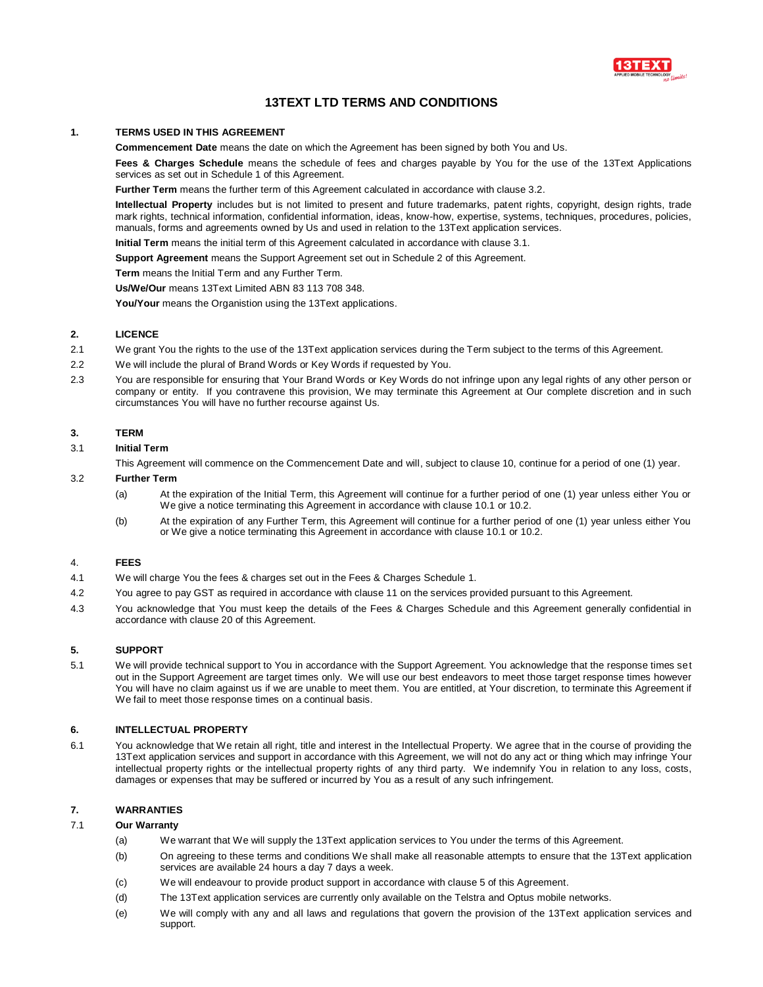

# **13TEXT LTD TERMS AND CONDITIONS**

# **1. TERMS USED IN THIS AGREEMENT**

**Commencement Date** means the date on which the Agreement has been signed by both You and Us.

**Fees & Charges Schedule** means the schedule of fees and charges payable by You for the use of the 13Text Applications services as set out in Schedule 1 of this Agreement.

**Further Term** means the further term of this Agreement calculated in accordance with clause 3.2.

**Intellectual Property** includes but is not limited to present and future trademarks, patent rights, copyright, design rights, trade mark rights, technical information, confidential information, ideas, know-how, expertise, systems, techniques, procedures, policies, manuals, forms and agreements owned by Us and used in relation to the 13Text application services.

**Initial Term** means the initial term of this Agreement calculated in accordance with clause 3.1.

**Support Agreement** means the Support Agreement set out in Schedule 2 of this Agreement.

**Term** means the Initial Term and any Further Term.

**Us/We/Our** means 13Text Limited ABN 83 113 708 348.

**You/Your** means the Organistion using the 13Text applications.

# **2. LICENCE**

- 2.1 We grant You the rights to the use of the 13Text application services during the Term subject to the terms of this Agreement.
- 2.2 We will include the plural of Brand Words or Key Words if requested by You.
- 2.3 You are responsible for ensuring that Your Brand Words or Key Words do not infringe upon any legal rights of any other person or company or entity. If you contravene this provision, We may terminate this Agreement at Our complete discretion and in such circumstances You will have no further recourse against Us.

# **3. TERM**

3.1 **Initial Term**

This Agreement will commence on the Commencement Date and will, subject to clause 10, continue for a period of one (1) year.

# 3.2 **Further Term**

- (a) At the expiration of the Initial Term, this Agreement will continue for a further period of one (1) year unless either You or We give a notice terminating this Agreement in accordance with clause 10.1 or 10.2.
- (b) At the expiration of any Further Term, this Agreement will continue for a further period of one (1) year unless either You or We give a notice terminating this Agreement in accordance with clause 10.1 or 10.2.

# 4. **FEES**

- 4.1 We will charge You the fees & charges set out in the Fees & Charges Schedule 1.
- 4.2 You agree to pay GST as required in accordance with clause 11 on the services provided pursuant to this Agreement.
- 4.3 You acknowledge that You must keep the details of the Fees & Charges Schedule and this Agreement generally confidential in accordance with clause 20 of this Agreement.

# **5. SUPPORT**

5.1 We will provide technical support to You in accordance with the Support Agreement. You acknowledge that the response times set out in the Support Agreement are target times only. We will use our best endeavors to meet those target response times however You will have no claim against us if we are unable to meet them. You are entitled, at Your discretion, to terminate this Agreement if We fail to meet those response times on a continual basis.

#### **6. INTELLECTUAL PROPERTY**

6.1 You acknowledge that We retain all right, title and interest in the Intellectual Property. We agree that in the course of providing the 13Text application services and support in accordance with this Agreement, we will not do any act or thing which may infringe Your intellectual property rights or the intellectual property rights of any third party. We indemnify You in relation to any loss, costs, damages or expenses that may be suffered or incurred by You as a result of any such infringement.

# **7. WARRANTIES**

# 7.1 **Our Warranty**

- (a) We warrant that We will supply the 13Text application services to You under the terms of this Agreement.
- (b) On agreeing to these terms and conditions We shall make all reasonable attempts to ensure that the 13Text application services are available 24 hours a day 7 days a week.
- (c) We will endeavour to provide product support in accordance with clause 5 of this Agreement.
- (d) The 13Text application services are currently only available on the Telstra and Optus mobile networks.
- (e) We will comply with any and all laws and regulations that govern the provision of the 13Text application services and support.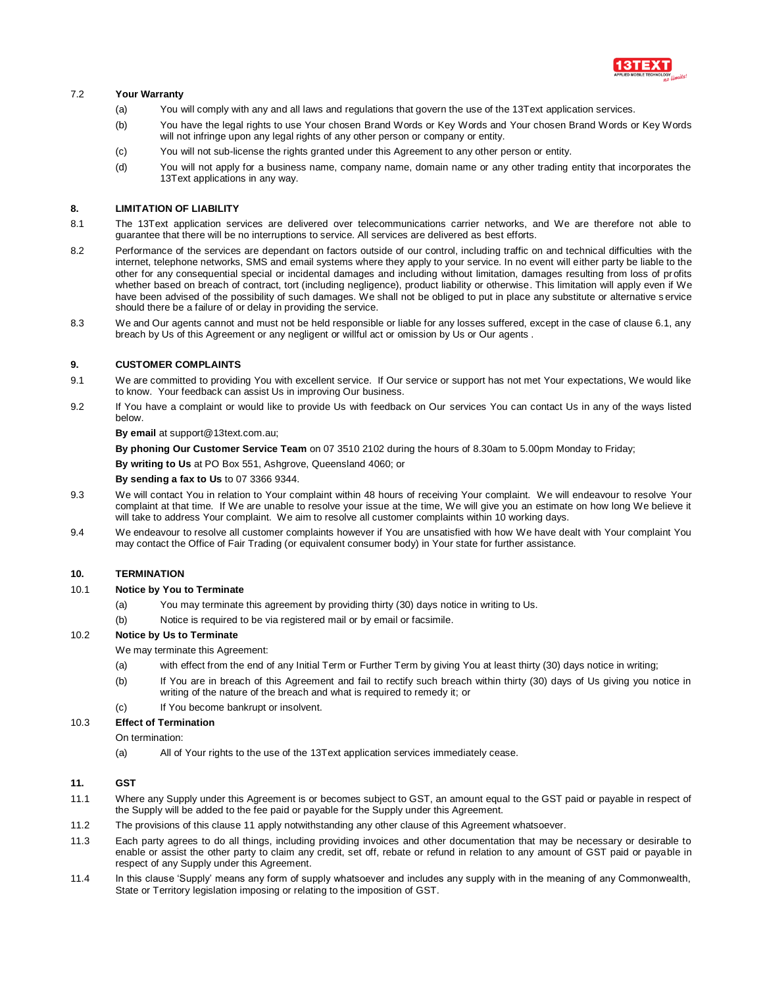

# 7.2 **Your Warranty**

- (a) You will comply with any and all laws and regulations that govern the use of the 13Text application services.
- (b) You have the legal rights to use Your chosen Brand Words or Key Words and Your chosen Brand Words or Key Words will not infringe upon any legal rights of any other person or company or entity.
- (c) You will not sub-license the rights granted under this Agreement to any other person or entity.
- (d) You will not apply for a business name, company name, domain name or any other trading entity that incorporates the 13Text applications in any way.

#### **8. LIMITATION OF LIABILITY**

- 8.1 The 13Text application services are delivered over telecommunications carrier networks, and We are therefore not able to guarantee that there will be no interruptions to service. All services are delivered as best efforts.
- 8.2 Performance of the services are dependant on factors outside of our control, including traffic on and technical difficulties with the internet, telephone networks, SMS and email systems where they apply to your service. In no event will either party be liable to the other for any consequential special or incidental damages and including without limitation, damages resulting from loss of profits whether based on breach of contract, tort (including negligence), product liability or otherwise. This limitation will apply even if We have been advised of the possibility of such damages. We shall not be obliged to put in place any substitute or alternative service should there be a failure of or delay in providing the service.
- 8.3 We and Our agents cannot and must not be held responsible or liable for any losses suffered, except in the case of clause 6.1, any breach by Us of this Agreement or any negligent or willful act or omission by Us or Our agents .

#### **9. CUSTOMER COMPLAINTS**

- 9.1 We are committed to providing You with excellent service. If Our service or support has not met Your expectations, We would like to know. Your feedback can assist Us in improving Our business.
- 9.2 If You have a complaint or would like to provide Us with feedback on Our services You can contact Us in any of the ways listed below.

**By email** at support@13text.com.au;

**By phoning Our Customer Service Team** on 07 3510 2102 during the hours of 8.30am to 5.00pm Monday to Friday;

**By writing to Us** at PO Box 551, Ashgrove, Queensland 4060; or

**By sending a fax to Us** to 07 3366 9344.

- 9.3 We will contact You in relation to Your complaint within 48 hours of receiving Your complaint. We will endeavour to resolve Your complaint at that time. If We are unable to resolve your issue at the time, We will give you an estimate on how long We believe it will take to address Your complaint. We aim to resolve all customer complaints within 10 working days.
- 9.4 We endeavour to resolve all customer complaints however if You are unsatisfied with how We have dealt with Your complaint You may contact the Office of Fair Trading (or equivalent consumer body) in Your state for further assistance.

# **10. TERMINATION**

#### 10.1 **Notice by You to Terminate**

- (a) You may terminate this agreement by providing thirty (30) days notice in writing to Us.
- (b) Notice is required to be via registered mail or by email or facsimile.

# 10.2 **Notice by Us to Terminate**

We may terminate this Agreement:

- (a) with effect from the end of any Initial Term or Further Term by giving You at least thirty (30) days notice in writing;
- (b) If You are in breach of this Agreement and fail to rectify such breach within thirty (30) days of Us giving you notice in writing of the nature of the breach and what is required to remedy it; or
- (c) If You become bankrupt or insolvent.

# 10.3 **Effect of Termination**

On termination:

(a) All of Your rights to the use of the 13Text application services immediately cease.

# **11. GST**

- 11.1 Where any Supply under this Agreement is or becomes subject to GST, an amount equal to the GST paid or payable in respect of the Supply will be added to the fee paid or payable for the Supply under this Agreement.
- 11.2 The provisions of this clause 11 apply notwithstanding any other clause of this Agreement whatsoever.
- 11.3 Each party agrees to do all things, including providing invoices and other documentation that may be necessary or desirable to enable or assist the other party to claim any credit, set off, rebate or refund in relation to any amount of GST paid or payable in respect of any Supply under this Agreement.
- 11.4 In this clause 'Supply' means any form of supply whatsoever and includes any supply with in the meaning of any Commonwealth, State or Territory legislation imposing or relating to the imposition of GST.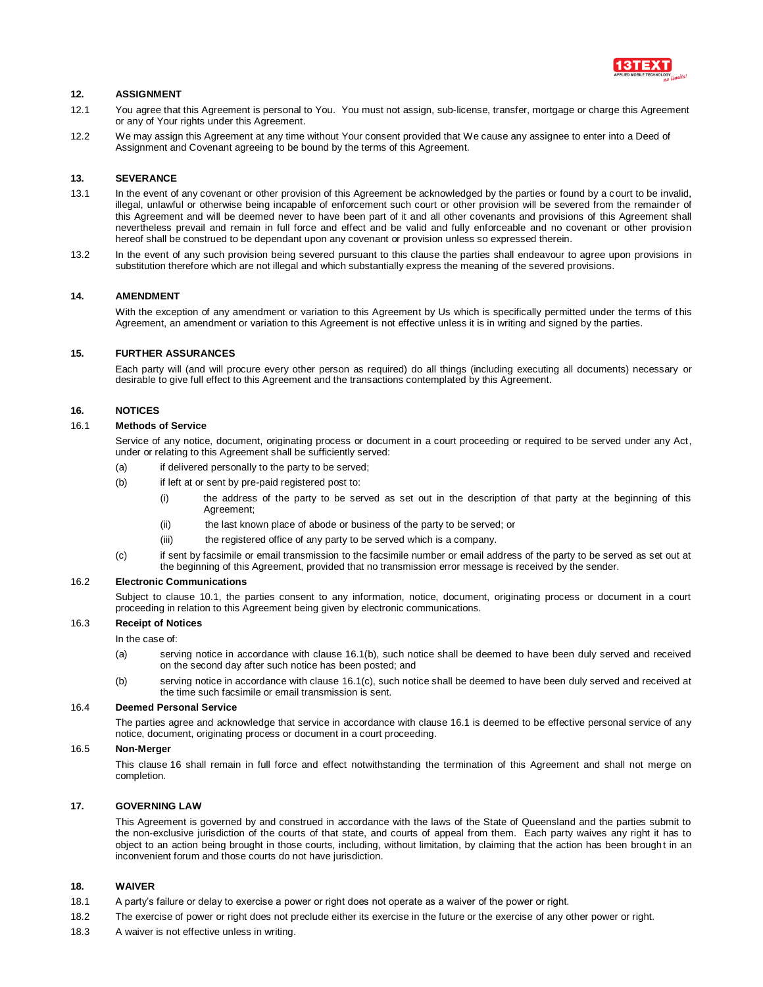

# **12. ASSIGNMENT**

- 12.1 You agree that this Agreement is personal to You. You must not assign, sub-license, transfer, mortgage or charge this Agreement or any of Your rights under this Agreement.
- 12.2 We may assign this Agreement at any time without Your consent provided that We cause any assignee to enter into a Deed of Assignment and Covenant agreeing to be bound by the terms of this Agreement.

#### **13. SEVERANCE**

- 13.1 In the event of any covenant or other provision of this Agreement be acknowledged by the parties or found by a court to be invalid, illegal, unlawful or otherwise being incapable of enforcement such court or other provision will be severed from the remainder of this Agreement and will be deemed never to have been part of it and all other covenants and provisions of this Agreement shall nevertheless prevail and remain in full force and effect and be valid and fully enforceable and no covenant or other provision hereof shall be construed to be dependant upon any covenant or provision unless so expressed therein.
- 13.2 In the event of any such provision being severed pursuant to this clause the parties shall endeavour to agree upon provisions in substitution therefore which are not illegal and which substantially express the meaning of the severed provisions.

#### **14. AMENDMENT**

With the exception of any amendment or variation to this Agreement by Us which is specifically permitted under the terms of this Agreement, an amendment or variation to this Agreement is not effective unless it is in writing and signed by the parties.

# **15. FURTHER ASSURANCES**

Each party will (and will procure every other person as required) do all things (including executing all documents) necessary or desirable to give full effect to this Agreement and the transactions contemplated by this Agreement.

### **16. NOTICES**

#### 16.1 **Methods of Service**

Service of any notice, document, originating process or document in a court proceeding or required to be served under any Act, under or relating to this Agreement shall be sufficiently served:

- (a) if delivered personally to the party to be served;
- (b) if left at or sent by pre-paid registered post to:
	- (i) the address of the party to be served as set out in the description of that party at the beginning of this Agreement;
	- (ii) the last known place of abode or business of the party to be served; or
	- (iii) the registered office of any party to be served which is a company.
- (c) if sent by facsimile or email transmission to the facsimile number or email address of the party to be served as set out at the beginning of this Agreement, provided that no transmission error message is received by the sender.

#### 16.2 **Electronic Communications**

Subject to clause 10.1, the parties consent to any information, notice, document, originating process or document in a court proceeding in relation to this Agreement being given by electronic communications.

#### 16.3 **Receipt of Notices**

In the case of:

- (a) serving notice in accordance with clause 16.1(b), such notice shall be deemed to have been duly served and received on the second day after such notice has been posted; and
- (b) serving notice in accordance with clause 16.1(c), such notice shall be deemed to have been duly served and received at the time such facsimile or email transmission is sent.

#### 16.4 **Deemed Personal Service**

The parties agree and acknowledge that service in accordance with clause 16.1 is deemed to be effective personal service of any notice, document, originating process or document in a court proceeding.

#### 16.5 **Non-Merger**

This clause 16 shall remain in full force and effect notwithstanding the termination of this Agreement and shall not merge on completion.

#### **17. GOVERNING LAW**

This Agreement is governed by and construed in accordance with the laws of the State of Queensland and the parties submit to the non-exclusive jurisdiction of the courts of that state, and courts of appeal from them. Each party waives any right it has to object to an action being brought in those courts, including, without limitation, by claiming that the action has been brought in an inconvenient forum and those courts do not have jurisdiction.

# **18. WAIVER**

- 18.1 A party's failure or delay to exercise a power or right does not operate as a waiver of the power or right.
- 18.2 The exercise of power or right does not preclude either its exercise in the future or the exercise of any other power or right.
- 18.3 A waiver is not effective unless in writing.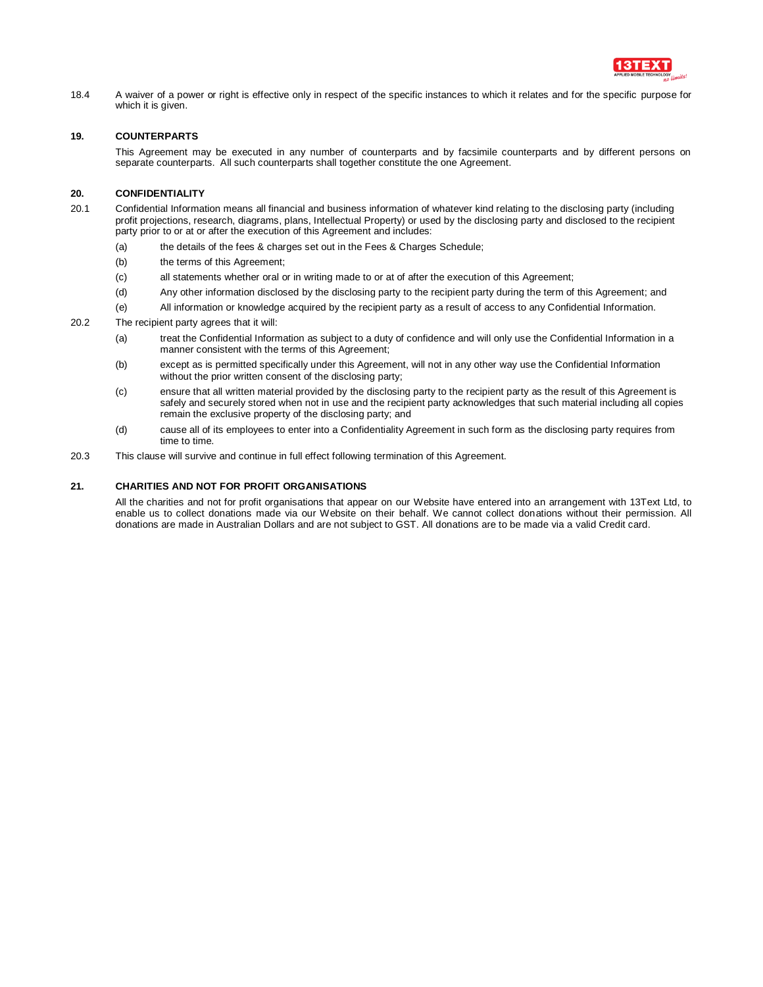

18.4 A waiver of a power or right is effective only in respect of the specific instances to which it relates and for the specific purpose for which it is given.

# **19. COUNTERPARTS**

This Agreement may be executed in any number of counterparts and by facsimile counterparts and by different persons on separate counterparts. All such counterparts shall together constitute the one Agreement.

# **20. CONFIDENTIALITY**

- 20.1 Confidential Information means all financial and business information of whatever kind relating to the disclosing party (including profit projections, research, diagrams, plans, Intellectual Property) or used by the disclosing party and disclosed to the recipient party prior to or at or after the execution of this Agreement and includes:
	- (a) the details of the fees & charges set out in the Fees & Charges Schedule;
	- (b) the terms of this Agreement;
	- (c) all statements whether oral or in writing made to or at of after the execution of this Agreement;
	- (d) Any other information disclosed by the disclosing party to the recipient party during the term of this Agreement; and
	- (e) All information or knowledge acquired by the recipient party as a result of access to any Confidential Information.
- 20.2 The recipient party agrees that it will:
	- (a) treat the Confidential Information as subject to a duty of confidence and will only use the Confidential Information in a manner consistent with the terms of this Agreement;
	- (b) except as is permitted specifically under this Agreement, will not in any other way use the Confidential Information without the prior written consent of the disclosing party;
	- (c) ensure that all written material provided by the disclosing party to the recipient party as the result of this Agreement is safely and securely stored when not in use and the recipient party acknowledges that such material including all copies remain the exclusive property of the disclosing party; and
	- (d) cause all of its employees to enter into a Confidentiality Agreement in such form as the disclosing party requires from time to time.
- 20.3 This clause will survive and continue in full effect following termination of this Agreement.

# **21. CHARITIES AND NOT FOR PROFIT ORGANISATIONS**

All the charities and not for profit organisations that appear on our Website have entered into an arrangement with 13Text Ltd, to enable us to collect donations made via our Website on their behalf. We cannot collect donations without their permission. All donations are made in Australian Dollars and are not subject to GST. All donations are to be made via a valid Credit card.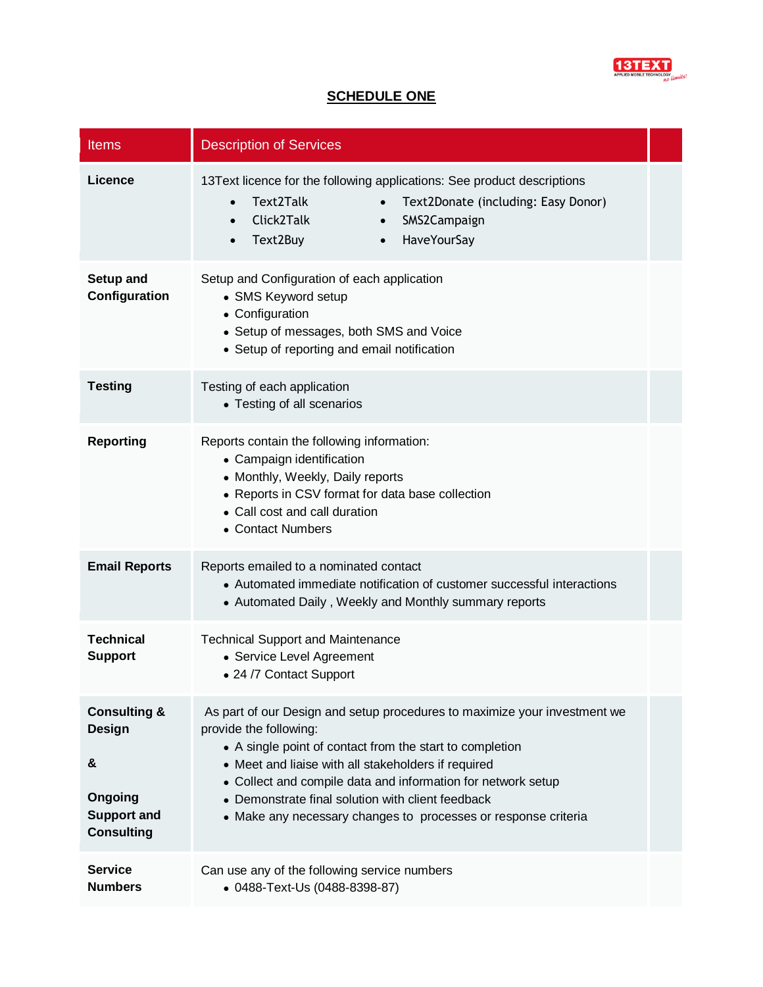

# **SCHEDULE ONE**

| <b>Items</b>                                                                                        | <b>Description of Services</b>                                                                                                                                                                                                                                                                                                                                                                                |  |  |  |  |
|-----------------------------------------------------------------------------------------------------|---------------------------------------------------------------------------------------------------------------------------------------------------------------------------------------------------------------------------------------------------------------------------------------------------------------------------------------------------------------------------------------------------------------|--|--|--|--|
| Licence                                                                                             | 13Text licence for the following applications: See product descriptions<br>Text2Talk<br>Text2Donate (including: Easy Donor)<br>$\bullet$<br>$\bullet$<br>Click2Talk<br>SMS2Campaign<br>$\bullet$<br>Text2Buy<br>HaveYourSay<br>$\bullet$<br>$\bullet$                                                                                                                                                         |  |  |  |  |
| Setup and<br>Configuration                                                                          | Setup and Configuration of each application<br>• SMS Keyword setup<br>• Configuration<br>• Setup of messages, both SMS and Voice<br>• Setup of reporting and email notification                                                                                                                                                                                                                               |  |  |  |  |
| <b>Testing</b>                                                                                      | Testing of each application<br>• Testing of all scenarios                                                                                                                                                                                                                                                                                                                                                     |  |  |  |  |
| <b>Reporting</b>                                                                                    | Reports contain the following information:<br>• Campaign identification<br>• Monthly, Weekly, Daily reports<br>• Reports in CSV format for data base collection<br>• Call cost and call duration<br>• Contact Numbers                                                                                                                                                                                         |  |  |  |  |
| <b>Email Reports</b>                                                                                | Reports emailed to a nominated contact<br>• Automated immediate notification of customer successful interactions<br>• Automated Daily, Weekly and Monthly summary reports                                                                                                                                                                                                                                     |  |  |  |  |
| <b>Technical</b><br><b>Support</b>                                                                  | <b>Technical Support and Maintenance</b><br>• Service Level Agreement<br>• 24 /7 Contact Support                                                                                                                                                                                                                                                                                                              |  |  |  |  |
| <b>Consulting &amp;</b><br><b>Design</b><br>&<br>Ongoing<br><b>Support and</b><br><b>Consulting</b> | As part of our Design and setup procedures to maximize your investment we<br>provide the following:<br>• A single point of contact from the start to completion<br>• Meet and liaise with all stakeholders if required<br>• Collect and compile data and information for network setup<br>• Demonstrate final solution with client feedback<br>• Make any necessary changes to processes or response criteria |  |  |  |  |
| <b>Service</b><br><b>Numbers</b>                                                                    | Can use any of the following service numbers<br>• 0488-Text-Us (0488-8398-87)                                                                                                                                                                                                                                                                                                                                 |  |  |  |  |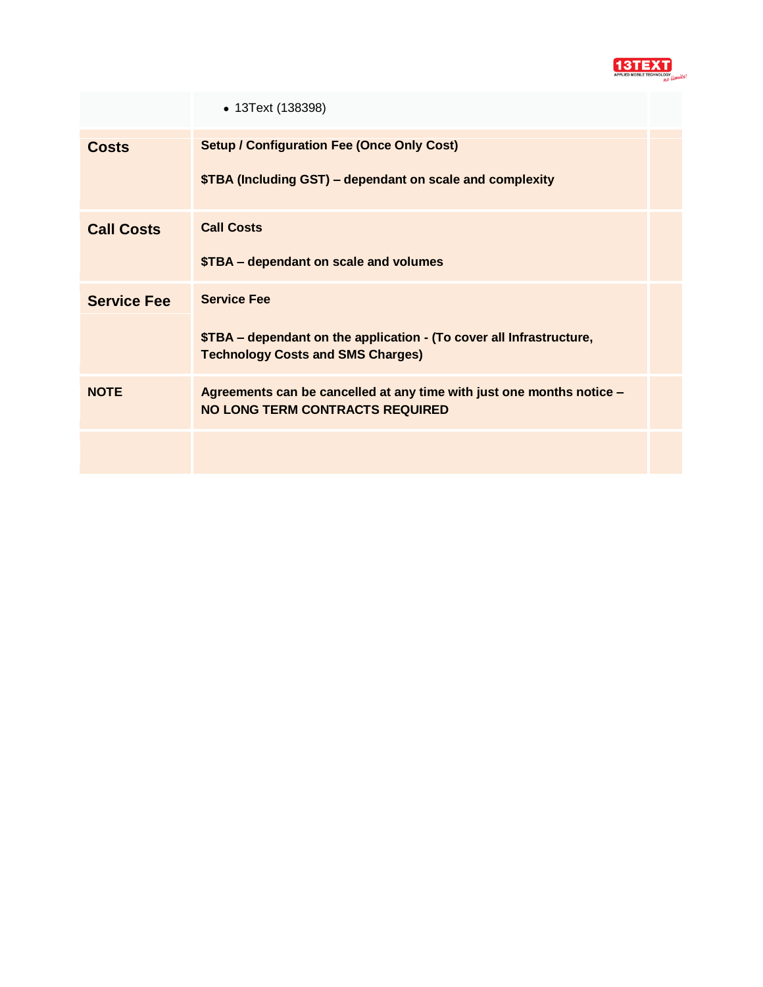

|                    | • 13Text (138398)                                                                                                                      |  |  |  |  |
|--------------------|----------------------------------------------------------------------------------------------------------------------------------------|--|--|--|--|
| <b>Costs</b>       | <b>Setup / Configuration Fee (Once Only Cost)</b><br>\$TBA (Including GST) – dependant on scale and complexity                         |  |  |  |  |
| <b>Call Costs</b>  | <b>Call Costs</b><br>\$TBA - dependant on scale and volumes                                                                            |  |  |  |  |
| <b>Service Fee</b> | <b>Service Fee</b><br>\$TBA – dependant on the application - (To cover all Infrastructure,<br><b>Technology Costs and SMS Charges)</b> |  |  |  |  |
| <b>NOTE</b>        | Agreements can be cancelled at any time with just one months notice -<br><b>NO LONG TERM CONTRACTS REQUIRED</b>                        |  |  |  |  |
|                    |                                                                                                                                        |  |  |  |  |